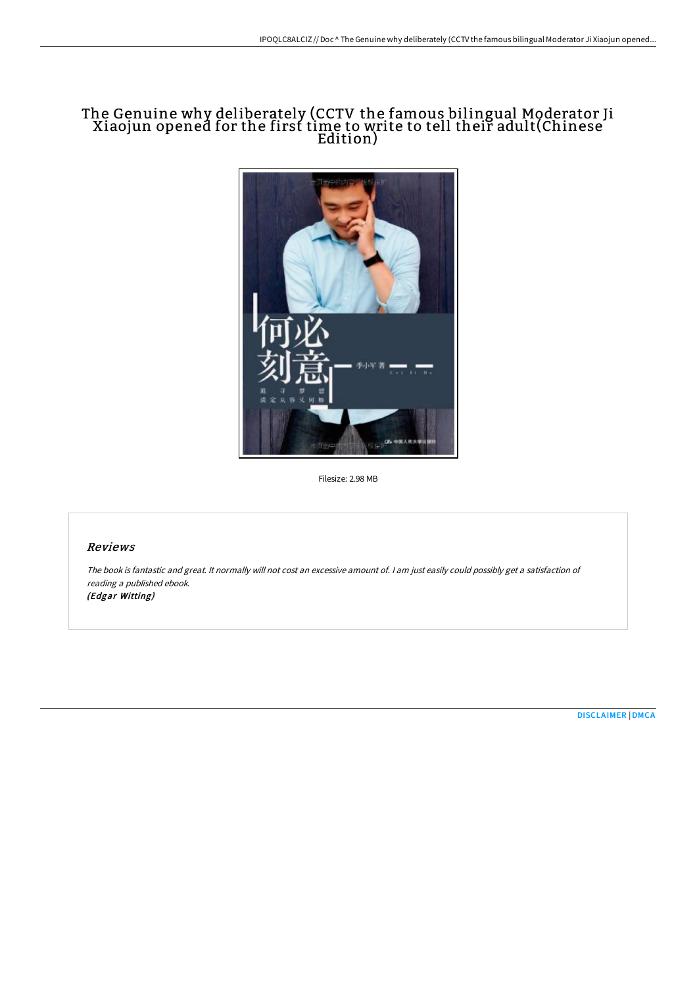## The Genuine why deliberately (CCTV the famous bilingual Moderator Ji Xiaojun opened for the first time to write to tell their adult(Chinese Edition)



Filesize: 2.98 MB

## Reviews

The book is fantastic and great. It normally will not cost an excessive amount of. <sup>I</sup> am just easily could possibly get <sup>a</sup> satisfaction of reading <sup>a</sup> published ebook. (Edgar Witting)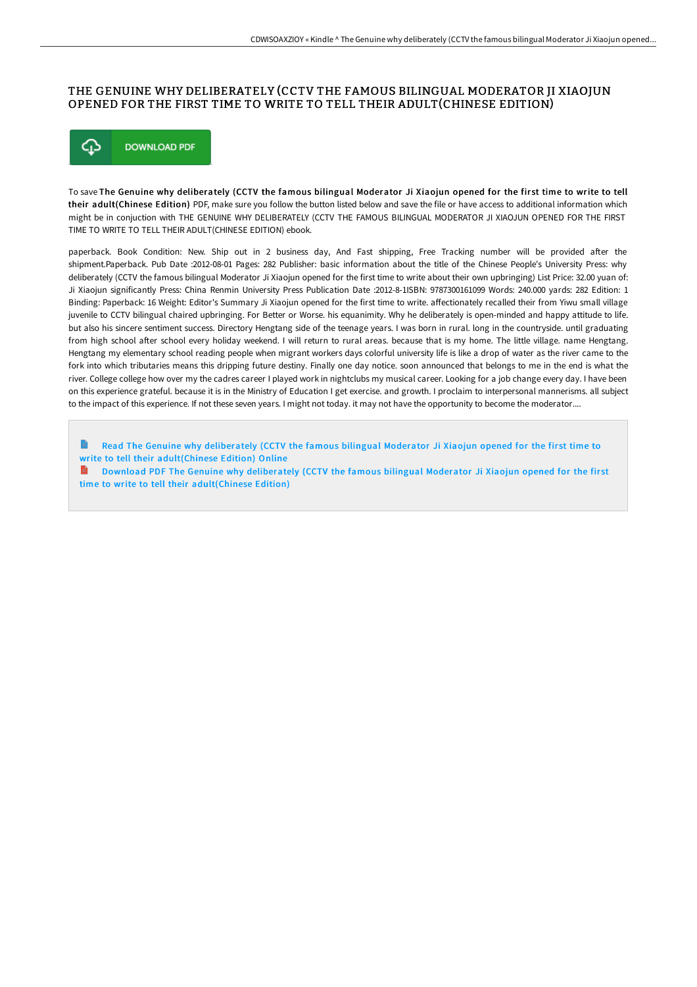## THE GENUINE WHY DELIBERATELY (CCTV THE FAMOUS BILINGUAL MODERATOR JI XIAOJUN OPENED FOR THE FIRST TIME TO WRITE TO TELL THEIR ADULT(CHINESE EDITION)



To save The Genuine why deliberately (CCTV the famous bilingual Moderator Ji Xiaojun opened for the first time to write to tell their adult(Chinese Edition) PDF, make sure you follow the button listed below and save the file or have access to additional information which might be in conjuction with THE GENUINE WHY DELIBERATELY (CCTV THE FAMOUS BILINGUAL MODERATOR JI XIAOJUN OPENED FOR THE FIRST TIME TO WRITE TO TELL THEIR ADULT(CHINESE EDITION) ebook.

paperback. Book Condition: New. Ship out in 2 business day, And Fast shipping, Free Tracking number will be provided after the shipment.Paperback. Pub Date :2012-08-01 Pages: 282 Publisher: basic information about the title of the Chinese People's University Press: why deliberately (CCTV the famous bilingual Moderator Ji Xiaojun opened for the first time to write about their own upbringing) List Price: 32.00 yuan of: Ji Xiaojun significantly Press: China Renmin University Press Publication Date :2012-8-1ISBN: 9787300161099 Words: 240.000 yards: 282 Edition: 1 Binding: Paperback: 16 Weight: Editor's Summary Ji Xiaojun opened for the first time to write. affectionately recalled their from Yiwu small village juvenile to CCTV bilingual chaired upbringing. For Better or Worse. his equanimity. Why he deliberately is open-minded and happy attitude to life. but also his sincere sentiment success. Directory Hengtang side of the teenage years. I was born in rural. long in the countryside. until graduating from high school after school every holiday weekend. I will return to rural areas. because that is my home. The little village. name Hengtang. Hengtang my elementary school reading people when migrant workers days colorful university life is like a drop of water as the river came to the fork into which tributaries means this dripping future destiny. Finally one day notice. soon announced that belongs to me in the end is what the river. College college how over my the cadres career I played work in nightclubs my musical career. Looking for a job change every day. I have been on this experience grateful. because it is in the Ministry of Education I get exercise. and growth. I proclaim to interpersonal mannerisms. all subject to the impact of this experience. If not these seven years. I might not today. it may not have the opportunity to become the moderator....

Read The Genuine why deliberately (CCTV the famous bilingual Moderator Ji Xiaojun opened for the first time to write to tell their [adult\(Chinese](http://techno-pub.tech/the-genuine-why-deliberately-cctv-the-famous-bil.html) Edition) Online

**D** Download PDF The Genuine why deliberately (CCTV the famous bilingual Moderator Ji Xiaojun opened for the first time to write to tell their [adult\(Chinese](http://techno-pub.tech/the-genuine-why-deliberately-cctv-the-famous-bil.html) Edition)